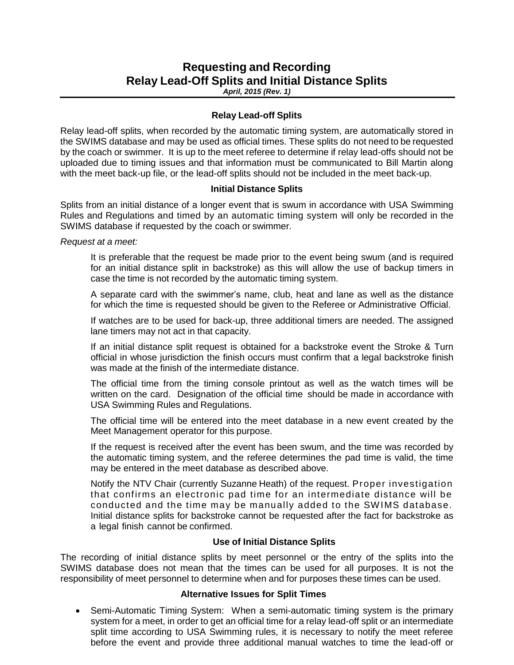# **Requesting and Recording Relay Lead-Off Splits and Initial Distance Splits**

*April, 2015 (Rev. 1)*

### **Relay Lead-off Splits**

Relay lead-off splits, when recorded by the automatic timing system, are automatically stored in the SWIMS database and may be used as official times. These splits do not need to be requested by the coach or swimmer. It is up to the meet referee to determine if relay lead-offs should not be uploaded due to timing issues and that information must be communicated to Bill Martin along with the meet back-up file, or the lead-off splits should not be included in the meet back-up.

### **Initial Distance Splits**

Splits from an initial distance of a longer event that is swum in accordance with USA Swimming Rules and Regulations and timed by an automatic timing system will only be recorded in the SWIMS database if requested by the coach or swimmer.

*Request at a meet:*

It is preferable that the request be made prior to the event being swum (and is required for an initial distance split in backstroke) as this will allow the use of backup timers in case the time is not recorded by the automatic timing system.

A separate card with the swimmer's name, club, heat and lane as well as the distance for which the time is requested should be given to the Referee or Administrative Official.

If watches are to be used for back-up, three additional timers are needed. The assigned lane timers may not act in that capacity.

If an initial distance split request is obtained for a backstroke event the Stroke & Turn official in whose jurisdiction the finish occurs must confirm that a legal backstroke finish was made at the finish of the intermediate distance.

The official time from the timing console printout as well as the watch times will be written on the card. Designation of the official time should be made in accordance with USA Swimming Rules and Regulations.

The official time will be entered into the meet database in a new event created by the Meet Management operator for this purpose.

If the request is received after the event has been swum, and the time was recorded by the automatic timing system, and the referee determines the pad time is valid, the time may be entered in the meet database as described above.

Notify the NTV Chair (currently Suzanne Heath) of the request. Proper investigation that confirms an electronic pad time for an intermediate distance will be conducted and the time may be manually added to the SWIMS database. Initial distance splits for backstroke cannot be requested after the fact for backstroke as a legal finish cannot be confirmed.

# **Use of Initial Distance Splits**

The recording of initial distance splits by meet personnel or the entry of the splits into the SWIMS database does not mean that the times can be used for all purposes. It is not the responsibility of meet personnel to determine when and for purposes these times can be used.

# **Alternative Issues for Split Times**

• Semi-Automatic Timing System: When a semi-automatic timing system is the primary system for a meet, in order to get an official time for a relay lead-off split or an intermediate split time according to USA Swimming rules, it is necessary to notify the meet referee before the event and provide three additional manual watches to time the lead-off or